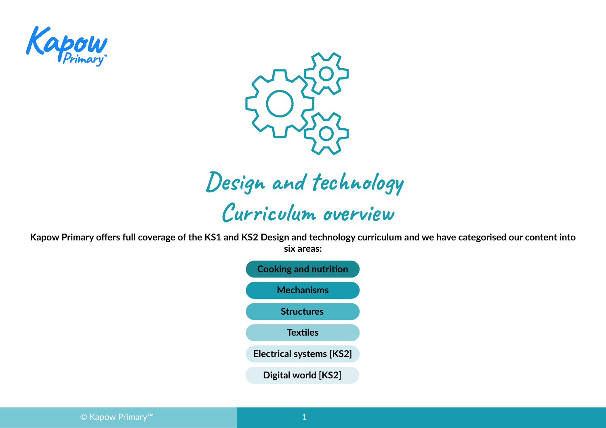



# **Design and technology Curriculum overview**

**Kapow Primary offers full coverage of the KS1 and KS2 Design and technology curriculum and we have categorised our content into six areas:**

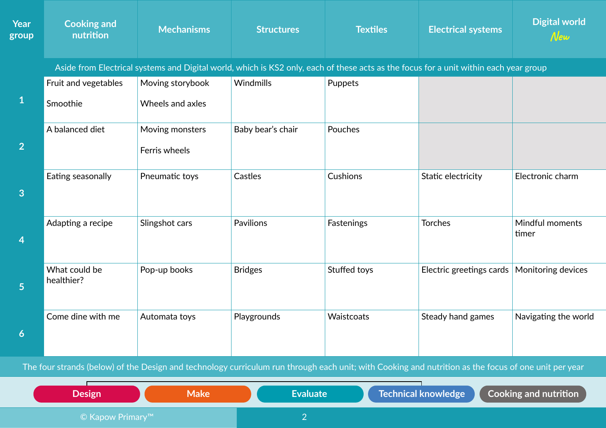| <b>Year</b><br>group | <b>Cooking and</b><br>nutrition | <b>Mechanisms</b>                                                                                                                     | <b>Structures</b> | <b>Textiles</b> | <b>Electrical systems</b> | <b>Digital world</b><br>$N$ ew |
|----------------------|---------------------------------|---------------------------------------------------------------------------------------------------------------------------------------|-------------------|-----------------|---------------------------|--------------------------------|
|                      |                                 | Aside from Electrical systems and Digital world, which is KS2 only, each of these acts as the focus for a unit within each year group |                   |                 |                           |                                |
|                      | Fruit and vegetables            | Moving storybook                                                                                                                      | Windmills         | Puppets         |                           |                                |
| $\mathbf 1$          | Smoothie                        | Wheels and axles                                                                                                                      |                   |                 |                           |                                |
|                      | A balanced diet                 | Moving monsters                                                                                                                       | Baby bear's chair | Pouches         |                           |                                |
| $\overline{2}$       |                                 | Ferris wheels                                                                                                                         |                   |                 |                           |                                |
| 3                    | Eating seasonally               | Pneumatic toys                                                                                                                        | Castles           | Cushions        | Static electricity        | Electronic charm               |
|                      |                                 |                                                                                                                                       |                   |                 |                           |                                |
| $\overline{4}$       | Adapting a recipe               | Slingshot cars                                                                                                                        | Pavilions         | Fastenings      | <b>Torches</b>            | Mindful moments<br>timer       |
| 5                    | What could be<br>healthier?     | Pop-up books                                                                                                                          | <b>Bridges</b>    | Stuffed toys    | Electric greetings cards  | Monitoring devices             |
| 6                    | Come dine with me               | Automata toys                                                                                                                         | Playgrounds       | Waistcoats      | Steady hand games         | Navigating the world           |

The four strands (below) of the Design and technology curriculum run through each unit; with Cooking and nutrition as the focus of one unit per year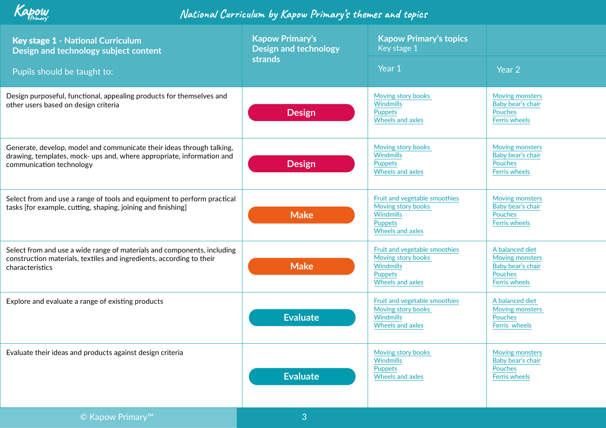| Key stage 1 - National Curriculum<br>Design and technology subject content<br>Pupils should be taught to:                                                                  | <b>Kapow Primary's</b><br><b>Design and technology</b><br><b>strands</b> | <b>Kapow Primary's topics</b><br>Key stage 1<br>Year 1                                                               | Year <sub>2</sub>                                                                          |
|----------------------------------------------------------------------------------------------------------------------------------------------------------------------------|--------------------------------------------------------------------------|----------------------------------------------------------------------------------------------------------------------|--------------------------------------------------------------------------------------------|
| Design purposeful, functional, appealing products for themselves and<br>other users based on design criteria                                                               | <b>Design</b>                                                            | Moving story books<br>Windmills<br>Puppets<br><b>Wheels and axles</b>                                                | <b>Moving monsters</b><br>Baby bear's chair<br>Pouches<br><b>Ferris wheels</b>             |
| Generate, develop, model and communicate their ideas through talking,<br>drawing, templates, mock- ups and, where appropriate, information and<br>communication technology | <b>Design</b>                                                            | Moving story books<br>Windmills<br>Puppets<br><b>Wheels and axles</b>                                                | <b>Moving monsters</b><br>Baby bear's chair<br>Pouches<br><b>Ferris wheels</b>             |
| Select from and use a range of tools and equipment to perform practical<br>tasks [for example, cutting, shaping, joining and finishing]                                    | <b>Make</b>                                                              | Fruit and vegetable smoothies<br>Moving story books<br><b>Windmills</b><br><b>Puppets</b><br><b>Wheels and axles</b> | <b>Moving monsters</b><br>Baby bear's chair<br>Pouches<br><b>Ferris wheels</b>             |
| Select from and use a wide range of materials and components, including<br>construction materials, textiles and ingredients, according to their<br>characteristics         | <b>Make</b>                                                              | Fruit and vegetable smoothies<br>Moving story books<br><b>Windmills</b><br><b>Puppets</b><br><b>Wheels and axles</b> | A balanced diet<br><b>Moving monsters</b><br>Baby bear's chair<br>Pouches<br>Ferris wheels |
| Explore and evaluate a range of existing products                                                                                                                          | <b>Evaluate</b>                                                          | Fruit and vegetable smoothies<br>Moving story books<br>Windmills<br><b>Wheels and axles</b>                          | A balanced diet<br>Moving monsters<br>Pouches<br>Ferris wheels                             |
| Evaluate their ideas and products against design criteria                                                                                                                  | <b>Evaluate</b>                                                          | Moving story books<br><b>Windmills</b><br>Puppets<br><b>Wheels and axles</b>                                         | Moving monsters<br>Baby bear's chair<br>Pouches<br><b>Ferris wheels</b>                    |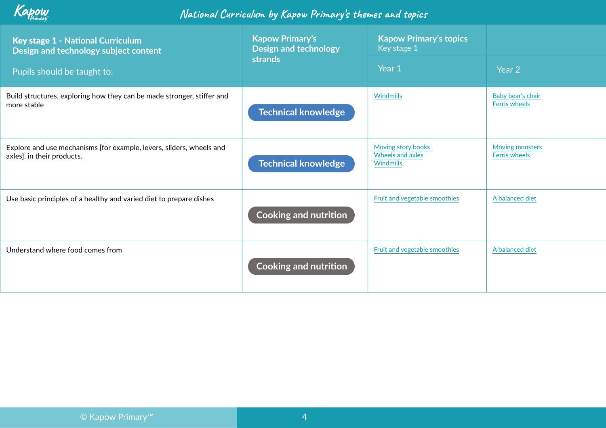

| <b>Key stage 1 - National Curriculum</b><br>Design and technology subject content                  | <b>Kapow Primary's</b><br><b>Design and technology</b> | <b>Kapow Primary's topics</b><br>Key stage 1               |                                           |
|----------------------------------------------------------------------------------------------------|--------------------------------------------------------|------------------------------------------------------------|-------------------------------------------|
| Pupils should be taught to:                                                                        | <b>strands</b>                                         | Year 1                                                     | Year 2                                    |
| Build structures, exploring how they can be made stronger, stiffer and<br>more stable              | <b>Technical knowledge</b>                             | Windmills                                                  | Baby bear's chair<br><b>Ferris wheels</b> |
| Explore and use mechanisms [for example, levers, sliders, wheels and<br>axles], in their products. | <b>Technical knowledge</b>                             | Moving story books<br><b>Wheels and axles</b><br>Windmills | Moving monsters<br><b>Ferris wheels</b>   |
| Use basic principles of a healthy and varied diet to prepare dishes                                | <b>Cooking and nutrition</b>                           | Fruit and vegetable smoothies                              | A balanced diet                           |
| Understand where food comes from                                                                   | <b>Cooking and nutrition</b>                           | Fruit and vegetable smoothies                              | A balanced diet                           |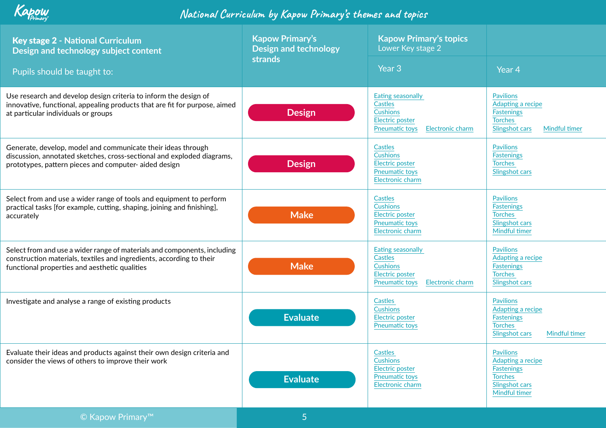| <b>Key stage 2 - National Curriculum</b><br>Design and technology subject content<br>Pupils should be taught to:                                                                                  | <b>Kapow Primary's</b><br><b>Design and technology</b><br><b>strands</b> | <b>Kapow Primary's topics</b><br>Lower Key stage 2<br>Year 3                                                                  | Year 4                                                                                                          |
|---------------------------------------------------------------------------------------------------------------------------------------------------------------------------------------------------|--------------------------------------------------------------------------|-------------------------------------------------------------------------------------------------------------------------------|-----------------------------------------------------------------------------------------------------------------|
| Use research and develop design criteria to inform the design of<br>innovative, functional, appealing products that are fit for purpose, aimed<br>at particular individuals or groups             | <b>Design</b>                                                            | Eating seasonally<br><b>Castles</b><br><b>Cushions</b><br><b>Electric poster</b><br><b>Pneumatic toys</b><br>Electronic charm | <b>Pavilions</b><br>Adapting a recipe<br><b>Fastenings</b><br><b>Torches</b><br>Slingshot cars<br>Mindful timer |
| Generate, develop, model and communicate their ideas through<br>discussion, annotated sketches, cross-sectional and exploded diagrams,<br>prototypes, pattern pieces and computer-aided design    | <b>Design</b>                                                            | <b>Castles</b><br><b>Cushions</b><br>Electric poster<br><b>Pneumatic toys</b><br>Electronic charm                             | <b>Pavilions</b><br><b>Fastenings</b><br><b>Torches</b><br>Slingshot cars                                       |
| Select from and use a wider range of tools and equipment to perform<br>practical tasks [for example, cutting, shaping, joining and finishing],<br>accurately                                      | <b>Make</b>                                                              | <b>Castles</b><br><b>Cushions</b><br><b>Electric poster</b><br><b>Pneumatic toys</b><br>Electronic charm                      | <b>Pavilions</b><br><b>Fastenings</b><br><b>Torches</b><br>Slingshot cars<br>Mindful timer                      |
| Select from and use a wider range of materials and components, including<br>construction materials, textiles and ingredients, according to their<br>functional properties and aesthetic qualities | <b>Make</b>                                                              | Eating seasonally<br><b>Castles</b><br><b>Cushions</b><br><b>Electric poster</b><br><b>Pneumatic toys</b><br>Electronic charm | <b>Pavilions</b><br>Adapting a recipe<br><b>Fastenings</b><br><b>Torches</b><br>Slingshot cars                  |
| Investigate and analyse a range of existing products                                                                                                                                              | <b>Evaluate</b>                                                          | <b>Castles</b><br><b>Cushions</b><br><b>Electric poster</b><br><b>Pneumatic toys</b>                                          | <b>Pavilions</b><br>Adapting a recipe<br><b>Fastenings</b><br><b>Torches</b><br>Slingshot cars<br>Mindful timer |
| Evaluate their ideas and products against their own design criteria and<br>consider the views of others to improve their work                                                                     | <b>Evaluate</b>                                                          | <b>Castles</b><br><b>Cushions</b><br><b>Electric poster</b><br><b>Pneumatic toys</b><br>Electronic charm                      | <b>Pavilions</b><br>Adapting a recipe<br><b>Fastenings</b><br><b>Torches</b><br>Slingshot cars<br>Mindful timer |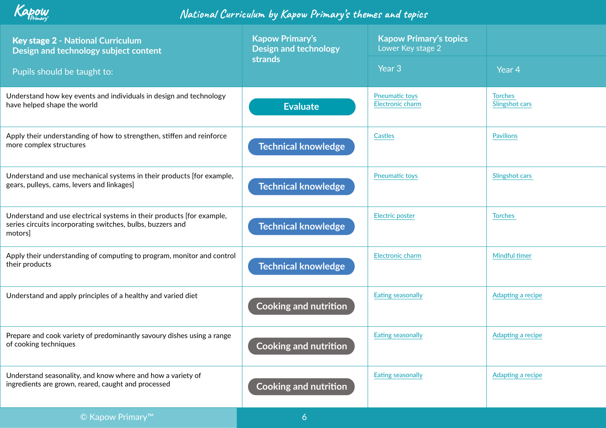

| <b>Key stage 2 - National Curriculum</b><br>Design and technology subject content                                                             | <b>Kapow Primary's</b><br><b>Design and technology</b><br>strands | <b>Kapow Primary's topics</b><br>Lower Key stage 2 |                                  |
|-----------------------------------------------------------------------------------------------------------------------------------------------|-------------------------------------------------------------------|----------------------------------------------------|----------------------------------|
| Pupils should be taught to:                                                                                                                   |                                                                   | Year <sub>3</sub>                                  | Year <sub>4</sub>                |
| Understand how key events and individuals in design and technology<br>have helped shape the world                                             | <b>Evaluate</b>                                                   | <b>Pneumatic toys</b><br>Electronic charm          | <b>Torches</b><br>Slingshot cars |
| Apply their understanding of how to strengthen, stiffen and reinforce<br>more complex structures                                              | <b>Technical knowledge</b>                                        | Castles                                            | <b>Pavilions</b>                 |
| Understand and use mechanical systems in their products [for example,<br>gears, pulleys, cams, levers and linkages]                           | <b>Technical knowledge</b>                                        | <b>Pneumatic toys</b>                              | Slingshot cars                   |
| Understand and use electrical systems in their products [for example,<br>series circuits incorporating switches, bulbs, buzzers and<br>motors | <b>Technical knowledge</b>                                        | <b>Electric poster</b>                             | <b>Torches</b>                   |
| Apply their understanding of computing to program, monitor and control<br>their products                                                      | <b>Technical knowledge</b>                                        | Electronic charm                                   | Mindful timer                    |
| Understand and apply principles of a healthy and varied diet                                                                                  | <b>Cooking and nutrition</b>                                      | Eating seasonally                                  | Adapting a recipe                |
| Prepare and cook variety of predominantly savoury dishes using a range<br>of cooking techniques                                               | <b>Cooking and nutrition</b>                                      | Eating seasonally                                  | Adapting a recipe                |
| Understand seasonality, and know where and how a variety of<br>ingredients are grown, reared, caught and processed                            | <b>Cooking and nutrition</b>                                      | <b>Eating seasonally</b>                           | Adapting a recipe                |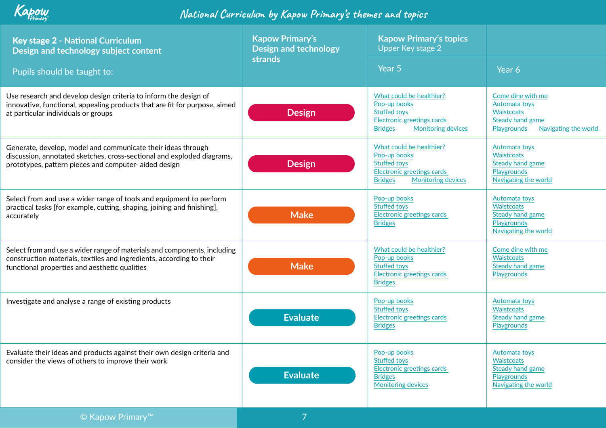| <b>Key stage 2 - National Curriculum</b><br>Design and technology subject content<br>Pupils should be taught to:                                                                                  | <b>Kapow Primary's</b><br><b>Design and technology</b><br><b>strands</b> | <b>Kapow Primary's topics</b><br>Upper Key stage 2<br>Year 5                                                                                 | Year 6                                                                                                      |
|---------------------------------------------------------------------------------------------------------------------------------------------------------------------------------------------------|--------------------------------------------------------------------------|----------------------------------------------------------------------------------------------------------------------------------------------|-------------------------------------------------------------------------------------------------------------|
| Use research and develop design criteria to inform the design of<br>innovative, functional, appealing products that are fit for purpose, aimed<br>at particular individuals or groups             | <b>Design</b>                                                            | What could be healthier?<br>Pop-up books<br><b>Stuffed toys</b><br>Electronic greetings cards<br><b>Bridges</b><br><b>Monitoring devices</b> | Come dine with me<br>Automata toys<br>Waistcoats<br>Steady hand game<br>Playgrounds<br>Navigating the world |
| Generate, develop, model and communicate their ideas through<br>discussion, annotated sketches, cross-sectional and exploded diagrams,<br>prototypes, pattern pieces and computer-aided design    | <b>Design</b>                                                            | What could be healthier?<br>Pop-up books<br><b>Stuffed toys</b><br>Electronic greetings cards<br><b>Monitoring devices</b><br><b>Bridges</b> | Automata toys<br>Waistcoats<br>Steady hand game<br>Playgrounds<br>Navigating the world                      |
| Select from and use a wider range of tools and equipment to perform<br>practical tasks [for example, cutting, shaping, joining and finishing],<br>accurately                                      | <b>Make</b>                                                              | Pop-up books<br><b>Stuffed toys</b><br>Electronic greetings cards<br><b>Bridges</b>                                                          | Automata toys<br>Waistcoats<br>Steady hand game<br>Playgrounds<br>Navigating the world                      |
| Select from and use a wider range of materials and components, including<br>construction materials, textiles and ingredients, according to their<br>functional properties and aesthetic qualities | <b>Make</b>                                                              | What could be healthier?<br>Pop-up books<br><b>Stuffed toys</b><br>Electronic greetings cards<br><b>Bridges</b>                              | Come dine with me<br>Waistcoats<br>Steady hand game<br>Playgrounds                                          |
| Investigate and analyse a range of existing products                                                                                                                                              | <b>Evaluate</b>                                                          | Pop-up books<br><b>Stuffed toys</b><br>Electronic greetings cards<br><b>Bridges</b>                                                          | Automata toys<br>Waistcoats<br>Steady hand game<br>Playgrounds                                              |
| Evaluate their ideas and products against their own design criteria and<br>consider the views of others to improve their work                                                                     | <b>Evaluate</b>                                                          | Pop-up books<br><b>Stuffed toys</b><br>Electronic greetings cards<br><b>Bridges</b><br><b>Monitoring devices</b>                             | Automata toys<br>Waistcoats<br>Steady hand game<br>Playgrounds<br>Navigating the world                      |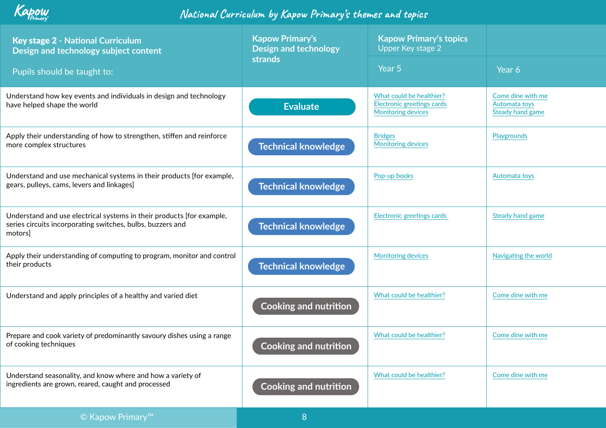| <b>Kapow Primary's</b><br><b>Design and technology</b><br>strands | <b>Kapow Primary's topics</b><br><b>Upper Key stage 2</b>                                  | Year 6                                                        |
|-------------------------------------------------------------------|--------------------------------------------------------------------------------------------|---------------------------------------------------------------|
|                                                                   |                                                                                            |                                                               |
| <b>Evaluate</b>                                                   | What could be healthier?<br><b>Electronic greetings cards</b><br><b>Monitoring devices</b> | Come dine with me<br>Automata toys<br><b>Steady hand game</b> |
| <b>Technical knowledge</b>                                        | <b>Bridges</b><br><b>Monitoring devices</b>                                                | Playgrounds                                                   |
| <b>Technical knowledge</b>                                        | Pop-up books                                                                               | Automata toys                                                 |
| <b>Technical knowledge</b>                                        | Electronic greetings cards                                                                 | <b>Steady hand game</b>                                       |
| <b>Technical knowledge</b>                                        | <b>Monitoring devices</b>                                                                  | Navigating the world                                          |
| <b>Cooking and nutrition</b>                                      | What could be healthier?                                                                   | Come dine with me                                             |
| <b>Cooking and nutrition</b>                                      | What could be healthier?                                                                   | Come dine with me                                             |
| <b>Cooking and nutrition</b>                                      | What could be healthier?                                                                   | Come dine with me                                             |
|                                                                   |                                                                                            | Year 5                                                        |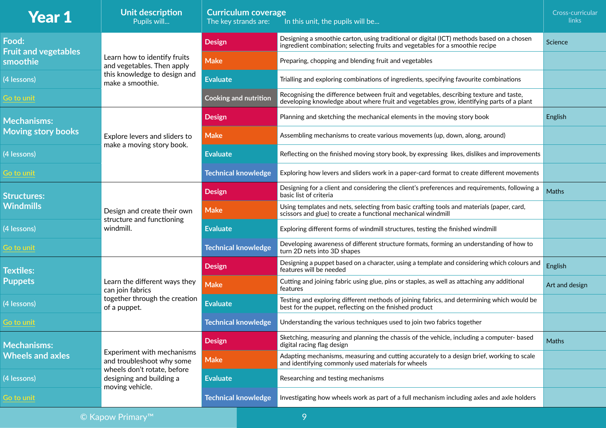| <b>Year 1</b>                        | Unit description<br>Pupils will                                                                                | <b>Curriculum coverage</b><br>The key strands are: | In this unit, the pupils will be                                                                                                                                                   | Cross-curricular<br>links |
|--------------------------------------|----------------------------------------------------------------------------------------------------------------|----------------------------------------------------|------------------------------------------------------------------------------------------------------------------------------------------------------------------------------------|---------------------------|
| Food:<br><b>Fruit and vegetables</b> |                                                                                                                | <b>Design</b>                                      | Designing a smoothie carton, using traditional or digital (ICT) methods based on a chosen<br>ingredient combination; selecting fruits and vegetables for a smoothie recipe         | Science                   |
| smoothie                             | Learn how to identify fruits<br>and vegetables. Then apply<br>this knowledge to design and<br>make a smoothie. | <b>Make</b>                                        | Preparing, chopping and blending fruit and vegetables                                                                                                                              |                           |
| (4 lessons)                          |                                                                                                                | <b>Evaluate</b>                                    | Trialling and exploring combinations of ingredients, specifying favourite combinations                                                                                             |                           |
| Go to unit                           |                                                                                                                | <b>Cooking and nutrition</b>                       | Recognising the difference between fruit and vegetables, describing texture and taste,<br>developing knowledge about where fruit and vegetables grow, identifying parts of a plant |                           |
| <b>Mechanisms:</b>                   |                                                                                                                | <b>Design</b>                                      | Planning and sketching the mechanical elements in the moving story book                                                                                                            | English                   |
| <b>Moving story books</b>            | Explore levers and sliders to                                                                                  | <b>Make</b>                                        | Assembling mechanisms to create various movements (up, down, along, around)                                                                                                        |                           |
| (4 lessons)                          | make a moving story book.                                                                                      | <b>Evaluate</b>                                    | Reflecting on the finished moving story book, by expressing likes, dislikes and improvements                                                                                       |                           |
| Go to unit                           |                                                                                                                | <b>Technical knowledge</b>                         | Exploring how levers and sliders work in a paper-card format to create different movements                                                                                         |                           |
| Structures:                          |                                                                                                                | <b>Design</b>                                      | Designing for a client and considering the client's preferences and requirements, following a<br>basic list of criteria                                                            | <b>Maths</b>              |
| <b>Windmills</b>                     | Design and create their own                                                                                    | <b>Make</b>                                        | Using templates and nets, selecting from basic crafting tools and materials (paper, card,<br>scissors and glue) to create a functional mechanical windmill                         |                           |
| (4 lessons)                          | structure and functioning<br>windmill.                                                                         | <b>Evaluate</b>                                    | Exploring different forms of windmill structures, testing the finished windmill                                                                                                    |                           |
| Go to unit                           |                                                                                                                | <b>Technical knowledge</b>                         | Developing awareness of different structure formats, forming an understanding of how to<br>turn 2D nets into 3D shapes                                                             |                           |
| <b>Textiles:</b>                     |                                                                                                                | <b>Design</b>                                      | Designing a puppet based on a character, using a template and considering which colours and<br>features will be needed                                                             | English                   |
| <b>Puppets</b>                       | Learn the different ways they<br>can join fabrics                                                              | <b>Make</b>                                        | Cutting and joining fabric using glue, pins or staples, as well as attaching any additional<br>features                                                                            | Art and design            |
| (4 lessons)                          | together through the creation<br>of a puppet.                                                                  | <b>Evaluate</b>                                    | Testing and exploring different methods of joining fabrics, and determining which would be<br>best for the puppet, reflecting on the finished product                              |                           |
| Go to unit                           |                                                                                                                | <b>Technical knowledge</b>                         | Understanding the various techniques used to join two fabrics together                                                                                                             |                           |
| <b>Mechanisms:</b>                   |                                                                                                                | <b>Design</b>                                      | Sketching, measuring and planning the chassis of the vehicle, including a computer- based<br>digital racing flag design                                                            | Maths                     |
| <b>Wheels and axles</b>              | Experiment with mechanisms<br>and troubleshoot why some                                                        | <b>Make</b>                                        | Adapting mechanisms, measuring and cutting accurately to a design brief, working to scale<br>and identifying commonly used materials for wheels                                    |                           |
| (4 lessons)                          | wheels don't rotate, before<br>designing and building a<br>moving vehicle.                                     | <b>Evaluate</b>                                    | Researching and testing mechanisms                                                                                                                                                 |                           |
| Go to unit                           |                                                                                                                | <b>Technical knowledge</b>                         | Investigating how wheels work as part of a full mechanism including axles and axle holders                                                                                         |                           |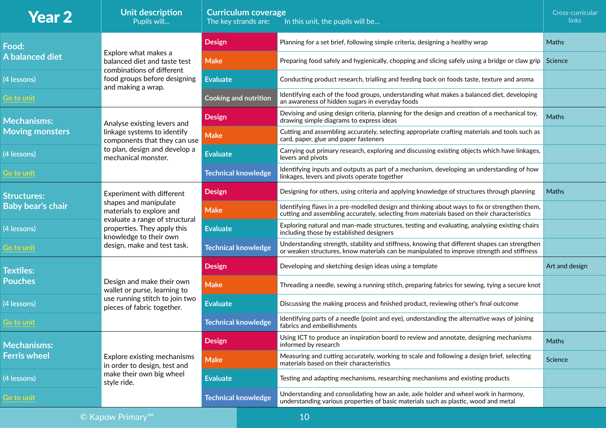| <b>Year 2</b>            | Unit description<br>Pupils will                                                         |                 | <b>Curriculum coverage</b><br>The key strands are: | In this unit, the pupils will be                                                                                                                                                            | Cross-curricular<br>links |
|--------------------------|-----------------------------------------------------------------------------------------|-----------------|----------------------------------------------------|---------------------------------------------------------------------------------------------------------------------------------------------------------------------------------------------|---------------------------|
| Food:                    |                                                                                         | <b>Design</b>   |                                                    | Planning for a set brief, following simple criteria, designing a healthy wrap                                                                                                               | <b>Maths</b>              |
| A balanced diet          | Explore what makes a<br>balanced diet and taste test                                    | <b>Make</b>     |                                                    | Preparing food safely and hygienically, chopping and slicing safely using a bridge or claw grip Science                                                                                     |                           |
| (4 lessons)              | combinations of different<br>food groups before designing<br>and making a wrap.         | <b>Evaluate</b> |                                                    | Conducting product research, trialling and feeding back on foods taste, texture and aroma                                                                                                   |                           |
| Go to unit               |                                                                                         |                 | <b>Cooking and nutrition</b>                       | Identifying each of the food groups, understanding what makes a balanced diet, developing<br>an awareness of hidden sugars in everyday foods                                                |                           |
| <b>Mechanisms:</b>       | Analyse existing levers and                                                             | <b>Design</b>   |                                                    | Devising and using design criteria, planning for the design and creation of a mechanical toy,<br>drawing simple diagrams to express ideas                                                   | Maths                     |
| <b>Moving monsters</b>   | linkage systems to identify<br>components that they can use                             | <b>Make</b>     |                                                    | Cutting and assembling accurately, selecting appropriate crafting materials and tools such as<br>card, paper, glue and paper fasteners                                                      |                           |
| (4 lessons)              | to plan, design and develop a<br>mechanical monster.                                    | <b>Evaluate</b> |                                                    | Carrying out primary research, exploring and discussing existing objects which have linkages,<br>levers and pivots                                                                          |                           |
| Go to unit               |                                                                                         |                 | <b>Technical knowledge</b>                         | Identifying inputs and outputs as part of a mechanism, developing an understanding of how<br>linkages, levers and pivots operate together                                                   |                           |
| <b>Structures:</b>       | Experiment with different                                                               | <b>Design</b>   |                                                    | Designing for others, using criteria and applying knowledge of structures through planning                                                                                                  | <b>Maths</b>              |
| <b>Baby bear's chair</b> | shapes and manipulate<br>materials to explore and                                       | <b>Make</b>     |                                                    | Identifying flaws in a pre-modelled design and thinking about ways to fix or strengthen them,<br>cutting and assembling accurately, selecting from materials based on their characteristics |                           |
| (4 lessons)              | evaluate a range of structural<br>properties. They apply this<br>knowledge to their own | <b>Evaluate</b> |                                                    | Exploring natural and man-made structures, testing and evaluating, analysing existing chairs<br>including those by established designers                                                    |                           |
| Go to unit               | design, make and test task.                                                             |                 | <b>Technical knowledge</b>                         | Understanding strength, stability and stiffness, knowing that different shapes can strengthen<br>or weaken structures, know materials can be manipulated to improve strength and stiffness  |                           |
| <b>Textiles:</b>         |                                                                                         | <b>Design</b>   |                                                    | Developing and sketching design ideas using a template                                                                                                                                      | Art and design            |
| <b>Pouches</b>           | Design and make their own<br>wallet or purse, learning to                               | <b>Make</b>     |                                                    | Threading a needle, sewing a running stitch, preparing fabrics for sewing, tying a secure knot                                                                                              |                           |
| (4 lessons)              | use running stitch to join two<br>pieces of fabric together.                            | <b>Evaluate</b> |                                                    | Discussing the making process and finished product, reviewing other's final outcome                                                                                                         |                           |
| Go to unit               |                                                                                         |                 | <b>Technical knowledge</b>                         | Identifying parts of a needle (point and eye), understanding the alternative ways of joining<br>fabrics and embellishments                                                                  |                           |
| <b>Mechanisms:</b>       |                                                                                         | <b>Design</b>   |                                                    | Using ICT to produce an inspiration board to review and annotate, designing mechanisms<br>informed by research                                                                              | Maths                     |
| <b>Ferris wheel</b>      | Explore existing mechanisms<br>in order to design, test and                             | <b>Make</b>     |                                                    | Measuring and cutting accurately, working to scale and following a design brief, selecting<br>materials based on their characteristics                                                      | Science                   |
| (4 lessons)              | make their own big wheel<br>style ride.                                                 | <b>Evaluate</b> |                                                    | Testing and adapting mechanisms, researching mechanisms and existing products                                                                                                               |                           |
| Go to unit               |                                                                                         |                 | <b>Technical knowledge</b>                         | Understanding and consolidating how an axle, axle holder and wheel work in harmony,<br>understanding various properties of basic materials such as plastic, wood and metal                  |                           |
| 10<br>© Kapow Primary™   |                                                                                         |                 |                                                    |                                                                                                                                                                                             |                           |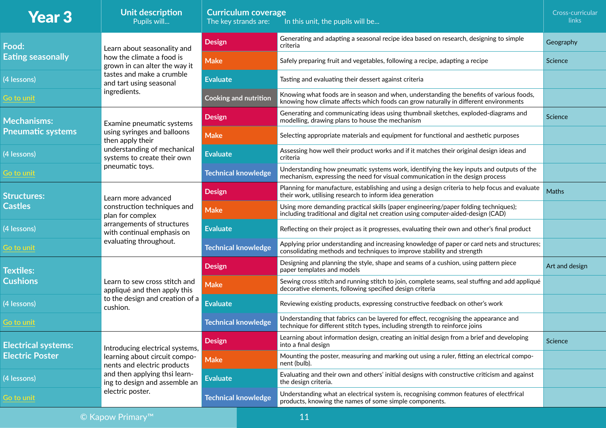| <b>Year 3</b>              | Unit description<br>Pupils will                                                                                    | <b>Curriculum coverage</b><br>In this unit, the pupils will be<br>The key strands are: |                                                                                                                                                                                 | Cross-curricular<br>links |
|----------------------------|--------------------------------------------------------------------------------------------------------------------|----------------------------------------------------------------------------------------|---------------------------------------------------------------------------------------------------------------------------------------------------------------------------------|---------------------------|
| Food:                      | Learn about seasonality and                                                                                        | <b>Design</b>                                                                          | Generating and adapting a seasonal recipe idea based on research, designing to simple<br>criteria                                                                               | Geography                 |
| <b>Eating seasonally</b>   | how the climate a food is<br>grown in can alter the way it<br>tastes and make a crumble<br>and tart using seasonal | <b>Make</b>                                                                            | Safely preparing fruit and vegetables, following a recipe, adapting a recipe                                                                                                    | Science                   |
| (4 lessons)                |                                                                                                                    | <b>Evaluate</b>                                                                        | Tasting and evaluating their dessert against criteria                                                                                                                           |                           |
| Go to unit                 | ingredients.                                                                                                       | <b>Cooking and nutrition</b>                                                           | Knowing what foods are in season and when, understanding the benefits of various foods,<br>knowing how climate affects which foods can grow naturally in different environments |                           |
| <b>Mechanisms:</b>         | Examine pneumatic systems                                                                                          | <b>Design</b>                                                                          | Generating and communicating ideas using thumbnail sketches, exploded-diagrams and<br>modelling, drawing plans to house the mechanism                                           | Science                   |
| <b>Pneumatic systems</b>   | using syringes and balloons<br>then apply their                                                                    | <b>Make</b>                                                                            | Selecting appropriate materials and equipment for functional and aesthetic purposes                                                                                             |                           |
| (4 lessons)                | understanding of mechanical<br>systems to create their own                                                         | <b>Evaluate</b>                                                                        | Assessing how well their product works and if it matches their original design ideas and<br>criteria                                                                            |                           |
| Go to unit                 | pneumatic toys.                                                                                                    | <b>Technical knowledge</b>                                                             | Understanding how pneumatic systems work, identifying the key inputs and outputs of the<br>mechanism, expressing the need for visual communication in the design process        |                           |
| <b>Structures:</b>         | Learn more advanced<br>construction techniques and<br>plan for complex                                             | <b>Design</b>                                                                          | Planning for manufacture, establishing and using a design criteria to help focus and evaluate<br>their work, utilising research to inform idea generation                       | Maths                     |
| <b>Castles</b>             |                                                                                                                    | <b>Make</b>                                                                            | Using more demanding practical skills (paper engineering/paper folding techniques);<br>including traditional and digital net creation using computer-aided-design (CAD)         |                           |
| (4 lessons)                | arrangements of structures<br>with continual emphasis on                                                           | <b>Evaluate</b>                                                                        | Reflecting on their project as it progresses, evaluating their own and other's final product                                                                                    |                           |
| Go to unit                 | evaluating throughout.                                                                                             | <b>Technical knowledge</b>                                                             | Applying prior understanding and increasing knowledge of paper or card nets and structures;<br>consolidating methods and techniques to improve stability and strength           |                           |
| <b>Textiles:</b>           |                                                                                                                    | <b>Design</b>                                                                          | Designing and planning the style, shape and seams of a cushion, using pattern piece<br>paper templates and models                                                               | Art and design            |
| <b>Cushions</b>            | Learn to sew cross stitch and<br>appliqué and then apply this                                                      | <b>Make</b>                                                                            | Sewing cross stitch and running stitch to join, complete seams, seal stuffing and add appliqué<br>decorative elements, following specified design criteria                      |                           |
| (4 lessons)                | to the design and creation of a<br>cushion.                                                                        | <b>Evaluate</b>                                                                        | Reviewing existing products, expressing constructive feedback on other's work                                                                                                   |                           |
| Go to unit                 |                                                                                                                    | <b>Technical knowledge</b>                                                             | Understanding that fabrics can be layered for effect, recognising the appearance and<br>technique for different stitch types, including strength to reinforce joins             |                           |
| <b>Electrical systems:</b> | Introducing electrical systems,                                                                                    | <b>Design</b>                                                                          | Learning about information design, creating an initial design from a brief and developing<br>into a final design                                                                | Science                   |
| <b>Electric Poster</b>     | learning about circuit compo-<br>nents and electric products                                                       | <b>Make</b>                                                                            | Mounting the poster, measuring and marking out using a ruler, fitting an electrical compo-<br>nent (bulb).                                                                      |                           |
| (4 lessons)                | and then applying thsi learn-<br>ing to design and assemble an                                                     | <b>Evaluate</b>                                                                        | Evaluating and their own and others' initial designs with constructive criticism and against<br>the design criteria.                                                            |                           |
| Go to unit                 | electric poster.                                                                                                   | <b>Technical knowledge</b>                                                             | Understanding what an electrical system is, recognising common features of electfrical<br>products, knowing the names of some simple components.                                |                           |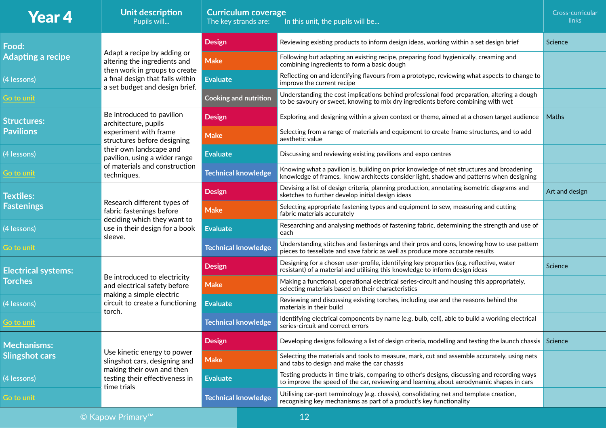| <b>Year 4</b>              | Unit description<br>Pupils will                                                                                                  | <b>Curriculum coverage</b><br>The key strands are:<br>In this unit, the pupils will be |                                                                                                                                                                                          |                |
|----------------------------|----------------------------------------------------------------------------------------------------------------------------------|----------------------------------------------------------------------------------------|------------------------------------------------------------------------------------------------------------------------------------------------------------------------------------------|----------------|
| Food:                      |                                                                                                                                  | <b>Design</b>                                                                          | Reviewing existing products to inform design ideas, working within a set design brief                                                                                                    | Science        |
| <b>Adapting a recipe</b>   | Adapt a recipe by adding or<br>altering the ingredients and<br>then work in groups to create<br>a final design that falls within | <b>Make</b>                                                                            | Following but adapting an existing recipe, preparing food hygienically, creaming and<br>combining ingredients to form a basic dough                                                      |                |
| (4 lessons)                |                                                                                                                                  | <b>Evaluate</b>                                                                        | Reflecting on and identifying flavours from a prototype, reviewing what aspects to change to<br>improve the current recipe                                                               |                |
| Go to unit                 | a set budget and design brief.                                                                                                   | <b>Cooking and nutrition</b>                                                           | Understanding the cost implications behind professional food preparation, altering a dough<br>to be savoury or sweet, knowing to mix dry ingredients before combining with wet           |                |
| <b>Structures:</b>         | Be introduced to pavilion<br>architecture, pupils                                                                                | <b>Design</b>                                                                          | Exploring and designing within a given context or theme, aimed at a chosen target audience                                                                                               | Maths          |
| <b>Pavilions</b>           | experiment with frame<br>structures before designing                                                                             | <b>Make</b>                                                                            | Selecting from a range of materials and equipment to create frame structures, and to add<br>aesthetic value                                                                              |                |
| (4 lessons)                | their own landscape and<br>pavilion, using a wider range                                                                         | <b>Evaluate</b>                                                                        | Discussing and reviewing existing pavilions and expo centres                                                                                                                             |                |
| Go to unit                 | of materials and construction<br>techniques.                                                                                     | <b>Technical knowledge</b>                                                             | Knowing what a pavilion is, building on prior knowledge of net structures and broadening<br>knowledge of frames, know architects consider light, shadow and patterns when designing      |                |
| <b>Textiles:</b>           | Research different types of<br>fabric fastenings before                                                                          | <b>Design</b>                                                                          | Devising a list of design criteria, planning production, annotating isometric diagrams and<br>sketches to further develop initial design ideas                                           | Art and design |
| <b>Fastenings</b>          |                                                                                                                                  | <b>Make</b>                                                                            | Selecting appropriate fastening types and equipment to sew, measuring and cutting<br>fabric materials accurately                                                                         |                |
| (4 lessons)                | deciding which they want to<br>use in their design for a book<br>sleeve.                                                         | <b>Evaluate</b>                                                                        | Researching and analysing methods of fastening fabric, determining the strength and use of<br>each                                                                                       |                |
| Go to unit                 |                                                                                                                                  | <b>Technical knowledge</b>                                                             | Understanding stitches and fastenings and their pros and cons, knowing how to use pattern<br>pieces to tessellate and save fabric as well as produce more accurate results               |                |
| <b>Electrical systems:</b> |                                                                                                                                  | <b>Design</b>                                                                          | Designing for a chosen user-profile, identifying key properties (e.g. reflective, water<br>resistant) of a material and utilising this knowledge to inform design ideas                  | Science        |
| <b>Torches</b>             | Be introduced to electricity<br>and electrical safety before                                                                     | <b>Make</b>                                                                            | Making a functional, operational electrical series-circuit and housing this appropriately,<br>selecting materials based on their characteristics                                         |                |
| (4 lessons)                | making a simple electric<br>circuit to create a functioning<br>torch.                                                            | <b>Evaluate</b>                                                                        | Reviewing and discussing existing torches, including use and the reasons behind the<br>materials in their build                                                                          |                |
| <b>Go to unit</b>          |                                                                                                                                  | <b>Technical knowledge</b>                                                             | Identifying electrical components by name (e.g. bulb, cell), able to build a working electrical<br>series-circuit and correct errors                                                     |                |
| <b>Mechanisms:</b>         |                                                                                                                                  | <b>Design</b>                                                                          | Developing designs following a list of design criteria, modelling and testing the launch chassis Science                                                                                 |                |
| <b>Slingshot cars</b>      | Use kinetic energy to power<br>slingshot cars, designing and                                                                     | <b>Make</b>                                                                            | Selecting the materials and tools to measure, mark, cut and assemble accurately, using nets<br>and tabs to design and make the car chassis                                               |                |
| (4 lessons)                | making their own and then<br>testing their effectiveness in<br>time trials                                                       | <b>Evaluate</b>                                                                        | Testing products in time trials, comparing to other's designs, discussing and recording ways<br>to improve the speed of the car, reviewing and learning about aerodynamic shapes in cars |                |
| Go to unit                 |                                                                                                                                  | <b>Technical knowledge</b>                                                             | Utilising car-part terminology (e.g. chassis), consolidating net and template creation,<br>recognising key mechanisms as part of a product's key functionality                           |                |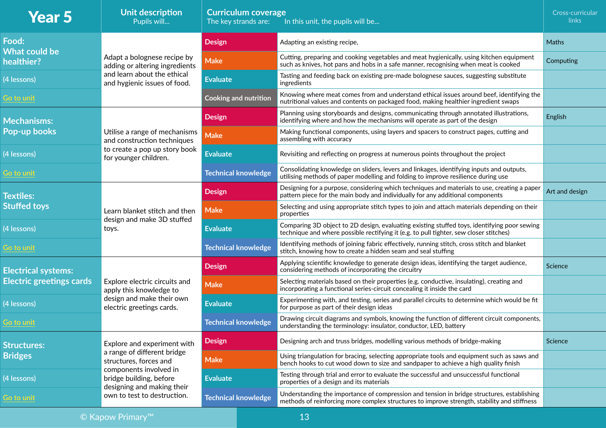| <b>Year 5</b>                      | Unit description<br>Pupils will                                                 | <b>Curriculum coverage</b><br>The key strands are: | In this unit, the pupils will be                                                                                                                                                          | Cross-curricular<br>links |
|------------------------------------|---------------------------------------------------------------------------------|----------------------------------------------------|-------------------------------------------------------------------------------------------------------------------------------------------------------------------------------------------|---------------------------|
| Food:                              |                                                                                 | <b>Design</b>                                      | Adapting an existing recipe,                                                                                                                                                              | Maths                     |
| <b>What could be</b><br>healthier? | Adapt a bolognese recipe by<br>adding or altering ingredients                   | <b>Make</b>                                        | Cutting, preparing and cooking vegetables and meat hygienically, using kitchen equipment<br>such as knives, hot pans and hobs in a safe manner, recognising when meat is cooked           | Computing                 |
| (4 lessons)                        | and learn about the ethical<br>and hygienic issues of food.                     | <b>Evaluate</b>                                    | Tasting and feeding back on existing pre-made bolognese sauces, suggesting substitute<br>ingredients                                                                                      |                           |
| Go to unit                         |                                                                                 | <b>Cooking and nutrition</b>                       | Knowing where meat comes from and understand ethical issues around beef, identifying the<br>nutritional values and contents on packaged food, making healthier ingredient swaps           |                           |
| <b>Mechanisms:</b>                 |                                                                                 | <b>Design</b>                                      | Planning using storyboards and designs, communicating through annotated illustrations,<br>identifying where and how the mechanisms will operate as part of the design                     | English                   |
| <b>Pop-up books</b>                | Utilise a range of mechanisms<br>and construction techniques                    | <b>Make</b>                                        | Making functional components, using layers and spacers to construct pages, cutting and<br>assembling with accuracy                                                                        |                           |
| (4 lessons)                        | to create a pop up story book<br>for younger children.                          | <b>Evaluate</b>                                    | Revisiting and reflecting on progress at numerous points throughout the project                                                                                                           |                           |
| Go to unit                         |                                                                                 | <b>Technical knowledge</b>                         | Consolidating knowledge on sliders, levers and linkages, identifying inputs and outputs,<br>utilising methods of paper modelling and folding to improve resilience during use             |                           |
| <b>Textiles:</b>                   | Learn blanket stitch and then<br>design and make 3D stuffed<br>toys.            | <b>Design</b>                                      | Designing for a purpose, considering which techniques and materials to use, creating a paper<br>pattern piece for the main body and individually for any additional components            | Art and design            |
| <b>Stuffed toys</b>                |                                                                                 | <b>Make</b>                                        | Selecting and using appropriate stitch types to join and attach materials depending on their<br>properties                                                                                |                           |
| (4 lessons)                        |                                                                                 | <b>Evaluate</b>                                    | Comparing 3D object to 2D design, evaluating existing stuffed toys, identifying poor sewing<br>technique and where possible rectifying it (e.g. to pull tighter, sew closer stitches)     |                           |
| Go to unit                         |                                                                                 | <b>Technical knowledge</b>                         | Identifying methods of joining fabric effectively, running stitch, cross stitch and blanket<br>stitch, knowing how to create a hidden seam and seal stuffing                              |                           |
| <b>Electrical systems:</b>         |                                                                                 | <b>Design</b>                                      | Applying scientific knowledge to generate design ideas, identifying the target audience,<br>considering methods of incorporating the circuitry                                            | Science                   |
| <b>Electric greetings cards</b>    | Explore electric circuits and<br>apply this knowledge to                        | <b>Make</b>                                        | Selecting materials based on their properties (e.g. conductive, insulating), creating and<br>incorporating a functional series-circuit concealing it inside the card                      |                           |
| (4 lessons)                        | design and make their own<br>electric greetings cards.                          | <b>Evaluate</b>                                    | Experimenting with, and testing, series and parallel circuits to determine which would be fit<br>for purpose as part of their design ideas                                                |                           |
| Go to unit                         |                                                                                 | <b>Technical knowledge</b>                         | Drawing circuit diagrams and symbols, knowing the function of different circuit components,<br>understanding the terminology: insulator, conductor, LED, battery                          |                           |
| <b>Structures:</b>                 | Explore and experiment with                                                     | <b>Design</b>                                      | Designing arch and truss bridges, modelling various methods of bridge-making                                                                                                              | Science                   |
| <b>Bridges</b>                     | a range of different bridge<br>structures, forces and                           | <b>Make</b>                                        | Using triangulation for bracing, selecting appropriate tools and equipment such as saws and<br>bench hooks to cut wood down to size and sandpaper to achieve a high quality finish        |                           |
| (4 lessons)                        | components involved in<br>bridge building, before<br>designing and making their | <b>Evaluate</b>                                    | Testing through trial and error to evaluate the successful and unsuccessful functional<br>properties of a design and its materials                                                        |                           |
| Go to unit                         | own to test to destruction.                                                     | <b>Technical knowledge</b>                         | Understanding the importance of compression and tension in bridge structures, establishing<br>methods of reinforcing more complex structures to improve strength, stability and stiffness |                           |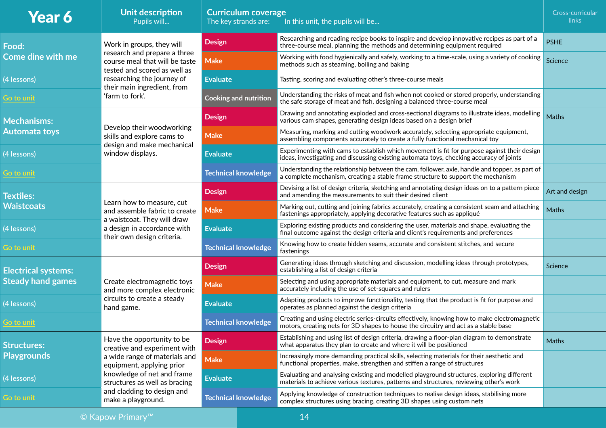| <b>Year 6</b>                             | Unit description<br>Pupils will                                                                                                                                                                             | <b>Curriculum coverage</b><br>The key strands are:<br>In this unit, the pupils will be |                                                                                                                                                                                                         |                                                                                                                                                                                        | Cross-curricular<br>links |
|-------------------------------------------|-------------------------------------------------------------------------------------------------------------------------------------------------------------------------------------------------------------|----------------------------------------------------------------------------------------|---------------------------------------------------------------------------------------------------------------------------------------------------------------------------------------------------------|----------------------------------------------------------------------------------------------------------------------------------------------------------------------------------------|---------------------------|
| Food:                                     | Work in groups, they will<br>research and prepare a three<br>course meal that will be taste<br>tested and scored as well as<br>researching the journey of<br>their main ingredient, from<br>'farm to fork'. | <b>Design</b>                                                                          |                                                                                                                                                                                                         | Researching and reading recipe books to inspire and develop innovative recipes as part of a<br>three-course meal, planning the methods and determining equipment required              | <b>PSHE</b>               |
| <b>Come dine with me</b>                  |                                                                                                                                                                                                             | <b>Make</b>                                                                            |                                                                                                                                                                                                         | Working with food hygienically and safely, working to a time-scale, using a variety of cooking<br>methods such as steaming, boiling and baking                                         | Science                   |
| (4 lessons)                               |                                                                                                                                                                                                             | <b>Evaluate</b>                                                                        |                                                                                                                                                                                                         | Tasting, scoring and evaluating other's three-course meals                                                                                                                             |                           |
| Go to unit                                |                                                                                                                                                                                                             |                                                                                        | Understanding the risks of meat and fish when not cooked or stored properly, understanding<br><b>Cooking and nutrition</b><br>the safe storage of meat and fish, designing a balanced three-course meal |                                                                                                                                                                                        |                           |
| <b>Mechanisms:</b>                        | Develop their woodworking<br>skills and explore cams to<br>design and make mechanical<br>window displays.                                                                                                   | <b>Design</b>                                                                          |                                                                                                                                                                                                         | Drawing and annotating exploded and cross-sectional diagrams to illustrate ideas, modelling<br>various cam shapes, generating design ideas based on a design brief                     | <b>Maths</b>              |
| <b>Automata toys</b>                      |                                                                                                                                                                                                             | <b>Make</b>                                                                            |                                                                                                                                                                                                         | Measuring, marking and cutting woodwork accurately, selecting appropriate equipment,<br>assembling components accurately to create a fully functional mechanical toy                   |                           |
| (4 lessons)                               |                                                                                                                                                                                                             | <b>Evaluate</b>                                                                        |                                                                                                                                                                                                         | Experimenting with cams to establish which movement is fit for purpose against their design<br>ideas, investigating and discussing existing automata toys, checking accuracy of joints |                           |
| Go to unit                                |                                                                                                                                                                                                             |                                                                                        | <b>Technical knowledge</b>                                                                                                                                                                              | Understanding the relationship between the cam, follower, axle, handle and topper, as part of<br>a complete mechanism, creating a stable frame structure to support the mechanism      |                           |
| <b>Textiles:</b>                          | Learn how to measure, cut<br>and assemble fabric to create<br>a waistcoat. They will draw<br>a design in accordance with<br>their own design criteria.                                                      | <b>Design</b>                                                                          |                                                                                                                                                                                                         | Devising a list of design criteria, sketching and annotating design ideas on to a pattern piece<br>and amending the measurements to suit their desired client                          | Art and design            |
| <b>Waistcoats</b>                         |                                                                                                                                                                                                             | <b>Make</b>                                                                            |                                                                                                                                                                                                         | Marking out, cutting and joining fabrics accurately, creating a consistent seam and attaching<br>fastenings appropriately, applying decorative features such as appliqué               | <b>Maths</b>              |
| (4 lessons)                               |                                                                                                                                                                                                             | <b>Evaluate</b>                                                                        |                                                                                                                                                                                                         | Exploring existing products and considering the user, materials and shape, evaluating the<br>final outcome against the design criteria and client's requirements and preferences       |                           |
| Go to unit                                |                                                                                                                                                                                                             |                                                                                        | <b>Technical knowledge</b>                                                                                                                                                                              | Knowing how to create hidden seams, accurate and consistent stitches, and secure<br>fastenings                                                                                         |                           |
| <b>Electrical systems:</b>                | Create electromagnetic toys<br>and more complex electronic<br>circuits to create a steady<br>hand game.                                                                                                     | <b>Design</b>                                                                          |                                                                                                                                                                                                         | Generating ideas through sketching and discussion, modelling ideas through prototypes,<br>establishing a list of design criteria                                                       | Science                   |
| <b>Steady hand games</b>                  |                                                                                                                                                                                                             | <b>Make</b>                                                                            |                                                                                                                                                                                                         | Selecting and using appropriate materials and equipment, to cut, measure and mark<br>accurately including the use of set-squares and rulers                                            |                           |
| (4 lessons)                               |                                                                                                                                                                                                             | <b>Evaluate</b>                                                                        |                                                                                                                                                                                                         | Adapting products to improve functionality, testing that the product is fit for purpose and<br>operates as planned against the design criteria                                         |                           |
| <b>Go to unit</b>                         |                                                                                                                                                                                                             | <b>Technical knowledge</b>                                                             |                                                                                                                                                                                                         | Creating and using electric series-circuits effectively, knowing how to make electromagnetic<br>motors, creating nets for 3D shapes to house the circuitry and act as a stable base    |                           |
| <b>Structures:</b>                        | Have the opportunity to be<br>creative and experiment with<br>a wide range of materials and<br>equipment, applying prior<br>knowledge of net and frame<br>structures as well as bracing                     | <b>Design</b>                                                                          |                                                                                                                                                                                                         | Establishing and using list of design criteria, drawing a floor-plan diagram to demonstrate<br>what apparatus they plan to create and where it will be positioned                      | Maths                     |
| <b>Playgrounds</b>                        |                                                                                                                                                                                                             | <b>Make</b>                                                                            |                                                                                                                                                                                                         | Increasingly more demanding practical skills, selecting materials for their aesthetic and<br>functional properties, make, strengthen and stiffen a range of structures                 |                           |
| (4 lessons)                               |                                                                                                                                                                                                             | <b>Evaluate</b>                                                                        |                                                                                                                                                                                                         | Evaluating and analysing existing and modelled playground structures, exploring different<br>materials to achieve various textures, patterns and structures, reviewing other's work    |                           |
| Go to unit                                | and cladding to design and<br>make a playground.                                                                                                                                                            | <b>Technical knowledge</b>                                                             |                                                                                                                                                                                                         | Applying knowledge of construction techniques to realise design ideas, stabilising more<br>complex structures using bracing, creating 3D shapes using custom nets                      |                           |
| 14<br>$\odot$ Kapow Primary <sup>TM</sup> |                                                                                                                                                                                                             |                                                                                        |                                                                                                                                                                                                         |                                                                                                                                                                                        |                           |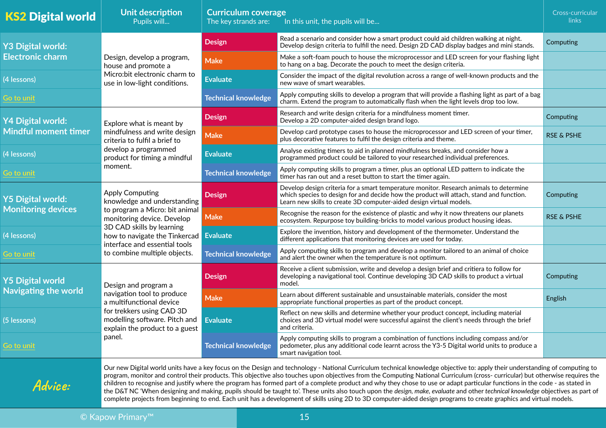| <b>KS2 Digital world</b>    | Unit description<br>Pupils will                                                                                                                                                                                                                                                                                                                                                                                                                                                                                                                                                                                                                                                                                                                                                                                                                                                                        | <b>Curriculum coverage</b><br>The key strands are: | Cross-curricular<br>links                                                                                                                                                                                                                                |                       |  |  |  |
|-----------------------------|--------------------------------------------------------------------------------------------------------------------------------------------------------------------------------------------------------------------------------------------------------------------------------------------------------------------------------------------------------------------------------------------------------------------------------------------------------------------------------------------------------------------------------------------------------------------------------------------------------------------------------------------------------------------------------------------------------------------------------------------------------------------------------------------------------------------------------------------------------------------------------------------------------|----------------------------------------------------|----------------------------------------------------------------------------------------------------------------------------------------------------------------------------------------------------------------------------------------------------------|-----------------------|--|--|--|
| <b>Y3 Digital world:</b>    | Design, develop a program,<br>house and promote a<br>Micro:bit electronic charm to<br>use in low-light conditions.                                                                                                                                                                                                                                                                                                                                                                                                                                                                                                                                                                                                                                                                                                                                                                                     | <b>Design</b>                                      | Read a scenario and consider how a smart product could aid children walking at night.<br>Develop design criteria to fulfill the need. Design 2D CAD display badges and mini stands.                                                                      |                       |  |  |  |
| <b>Electronic charm</b>     |                                                                                                                                                                                                                                                                                                                                                                                                                                                                                                                                                                                                                                                                                                                                                                                                                                                                                                        | <b>Make</b>                                        | Make a soft-foam pouch to house the microprocessor and LED screen for your flashing light<br>to hang on a bag. Decorate the pouch to meet the design criteria.                                                                                           |                       |  |  |  |
| (4 lessons)                 |                                                                                                                                                                                                                                                                                                                                                                                                                                                                                                                                                                                                                                                                                                                                                                                                                                                                                                        | <b>Evaluate</b>                                    | Consider the impact of the digital revolution across a range of well-known products and the<br>new wave of smart wearables.                                                                                                                              |                       |  |  |  |
| Go to unit                  |                                                                                                                                                                                                                                                                                                                                                                                                                                                                                                                                                                                                                                                                                                                                                                                                                                                                                                        | <b>Technical knowledge</b>                         | Apply computing skills to develop a program that will provide a flashing light as part of a bag<br>charm. Extend the program to automatically flash when the light levels drop too low.                                                                  |                       |  |  |  |
| <b>Y4 Digital world:</b>    | Explore what is meant by<br>mindfulness and write design<br>criteria to fulfil a brief to<br>develop a programmed<br>product for timing a mindful                                                                                                                                                                                                                                                                                                                                                                                                                                                                                                                                                                                                                                                                                                                                                      | <b>Design</b>                                      | Research and write design criteria for a mindfulness moment timer.<br>Develop a 2D computer-aided design brand logo.                                                                                                                                     | Computing             |  |  |  |
| <b>Mindful moment timer</b> |                                                                                                                                                                                                                                                                                                                                                                                                                                                                                                                                                                                                                                                                                                                                                                                                                                                                                                        | <b>Make</b>                                        | Develop card prototype cases to house the microprocessor and LED screen of your timer,<br>plus decorative features to fulfil the design criteria and theme.                                                                                              | <b>RSE &amp; PSHE</b> |  |  |  |
| (4 lessons)                 |                                                                                                                                                                                                                                                                                                                                                                                                                                                                                                                                                                                                                                                                                                                                                                                                                                                                                                        | <b>Evaluate</b>                                    | Analyse existing timers to aid in planned mindfulness breaks, and consider how a<br>programmed product could be tailored to your researched individual preferences.                                                                                      |                       |  |  |  |
| Go to unit                  | moment.                                                                                                                                                                                                                                                                                                                                                                                                                                                                                                                                                                                                                                                                                                                                                                                                                                                                                                | <b>Technical knowledge</b>                         | Apply computing skills to program a timer, plus an optional LED pattern to indicate the<br>timer has ran out and a reset button to start the timer again.                                                                                                |                       |  |  |  |
| <b>Y5 Digital world:</b>    | <b>Apply Computing</b><br>knowledge and understanding<br><b>Monitoring devices</b><br>to program a Micro: bit animal<br>monitoring device. Develop<br>3D CAD skills by learning<br>how to navigate the Tinkercad Evaluate<br>interface and essential tools                                                                                                                                                                                                                                                                                                                                                                                                                                                                                                                                                                                                                                             | <b>Design</b>                                      | Develop design criteria for a smart temperature monitor. Research animals to determine<br>which species to design for and decide how the product will attach, stand and function.<br>Learn new skills to create 3D computer-aided design virtual models. | Computing             |  |  |  |
|                             |                                                                                                                                                                                                                                                                                                                                                                                                                                                                                                                                                                                                                                                                                                                                                                                                                                                                                                        | <b>Make</b>                                        | Recognise the reason for the existence of plastic and why it now threatens our planets<br>ecosystem. Repurpose toy building-bricks to model various product housing ideas.                                                                               | <b>RSE &amp; PSHE</b> |  |  |  |
| (4 lessons)                 |                                                                                                                                                                                                                                                                                                                                                                                                                                                                                                                                                                                                                                                                                                                                                                                                                                                                                                        |                                                    | Explore the invention, history and development of the thermometer. Understand the<br>different applications that monitoring devices are used for today.                                                                                                  |                       |  |  |  |
| Go to unit                  | to combine multiple objects.                                                                                                                                                                                                                                                                                                                                                                                                                                                                                                                                                                                                                                                                                                                                                                                                                                                                           | <b>Technical knowledge</b>                         | Apply computing skills to program and develop a monitor tailored to an animal of choice<br>and alert the owner when the temperature is not optimum.                                                                                                      |                       |  |  |  |
| <b>Y5 Digital world</b>     | Design and program a<br>navigation tool to produce<br>a multifunctional device<br>for trekkers using CAD 3D<br>modelling software. Pitch and<br>explain the product to a guest                                                                                                                                                                                                                                                                                                                                                                                                                                                                                                                                                                                                                                                                                                                         | <b>Design</b>                                      | Receive a client submission, write and develop a design brief and critiera to follow for<br>developing a navigational tool. Continue developing 3D CAD skills to product a virtual<br>model.                                                             | Computing             |  |  |  |
| <b>Navigating the world</b> |                                                                                                                                                                                                                                                                                                                                                                                                                                                                                                                                                                                                                                                                                                                                                                                                                                                                                                        | <b>Make</b>                                        | Learn about different sustainable and unsustainable materials, consider the most<br>appropriate functional properties as part of the product concept.                                                                                                    | English               |  |  |  |
| (5 lessons)                 |                                                                                                                                                                                                                                                                                                                                                                                                                                                                                                                                                                                                                                                                                                                                                                                                                                                                                                        | Evaluate                                           | Reflect on new skills and determine whether your product concept, including material<br>choices and 3D virtual model were successful against the client's needs through the brief<br>and criteria.                                                       |                       |  |  |  |
| Go to unit                  | panel.                                                                                                                                                                                                                                                                                                                                                                                                                                                                                                                                                                                                                                                                                                                                                                                                                                                                                                 | <b>Technical knowledge</b>                         | Apply computing skills to program a combination of functions including compass and/or<br>pedometer, plus any additional code learnt across the Y3-5 Digital world units to produce a<br>smart navigation tool.                                           |                       |  |  |  |
| Advice:                     | Our new Digital world units have a key focus on the Design and technology - National Curriculum technical knowledge objective to: apply their understanding of computing to<br>program, monitor and control their products. This objective also touches upon objectives from the Computing National Curriculum (cross- curricular) but otherwise requires the<br>children to recognise and justify where the program has formed part of a complete product and why they chose to use or adapt particular functions in the code - as stated in<br>the D&T NC 'When designing and making, pupils should be taught to'. These units also touch upon the design, make, evaluate and other technical knowledge objectives as part of<br>complete projects from beginning to end. Each unit has a development of skills using 2D to 3D computer-aided design programs to create graphics and virtual models. |                                                    |                                                                                                                                                                                                                                                          |                       |  |  |  |
| 15<br>© Kapow Primary™      |                                                                                                                                                                                                                                                                                                                                                                                                                                                                                                                                                                                                                                                                                                                                                                                                                                                                                                        |                                                    |                                                                                                                                                                                                                                                          |                       |  |  |  |